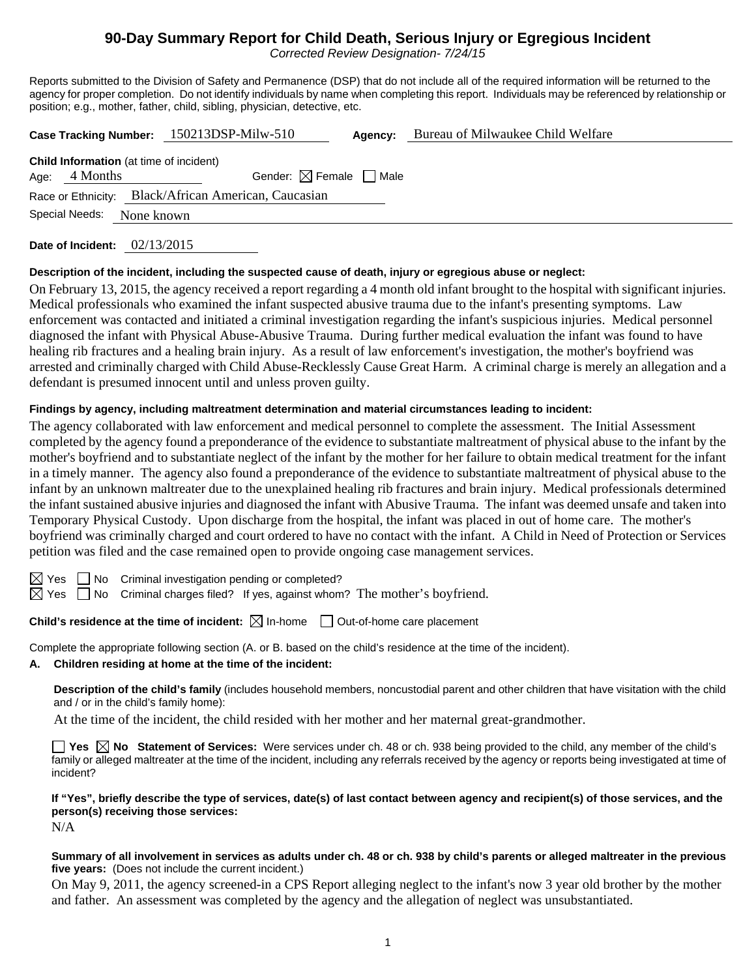# **90-Day Summary Report for Child Death, Serious Injury or Egregious Incident**

*Corrected Review Designation- 7/24/15* 

Reports submitted to the Division of Safety and Permanence (DSP) that do not include all of the required information will be returned to the agency for proper completion. Do not identify individuals by name when completing this report. Individuals may be referenced by relationship or position; e.g., mother, father, child, sibling, physician, detective, etc.

|                                                      |                 |                                                | Case Tracking Number: 150213DSP-Milw-510 | Agency: | Bureau of Milwaukee Child Welfare |  |  |  |
|------------------------------------------------------|-----------------|------------------------------------------------|------------------------------------------|---------|-----------------------------------|--|--|--|
|                                                      | Age: $4$ Months | <b>Child Information</b> (at time of incident) | Gender: $\boxtimes$ Female $\Box$ Male   |         |                                   |  |  |  |
| Race or Ethnicity: Black/African American, Caucasian |                 |                                                |                                          |         |                                   |  |  |  |
|                                                      | Special Needs:  | None known                                     |                                          |         |                                   |  |  |  |

**Date of Incident:** 02/13/2015

## **Description of the incident, including the suspected cause of death, injury or egregious abuse or neglect:**

On February 13, 2015, the agency received a report regarding a 4 month old infant brought to the hospital with significant injuries. Medical professionals who examined the infant suspected abusive trauma due to the infant's presenting symptoms. Law enforcement was contacted and initiated a criminal investigation regarding the infant's suspicious injuries. Medical personnel diagnosed the infant with Physical Abuse-Abusive Trauma. During further medical evaluation the infant was found to have healing rib fractures and a healing brain injury. As a result of law enforcement's investigation, the mother's boyfriend was arrested and criminally charged with Child Abuse-Recklessly Cause Great Harm. A criminal charge is merely an allegation and a defendant is presumed innocent until and unless proven guilty.

## **Findings by agency, including maltreatment determination and material circumstances leading to incident:**

The agency collaborated with law enforcement and medical personnel to complete the assessment. The Initial Assessment completed by the agency found a preponderance of the evidence to substantiate maltreatment of physical abuse to the infant by the mother's boyfriend and to substantiate neglect of the infant by the mother for her failure to obtain medical treatment for the infant in a timely manner. The agency also found a preponderance of the evidence to substantiate maltreatment of physical abuse to the infant by an unknown maltreater due to the unexplained healing rib fractures and brain injury. Medical professionals determined the infant sustained abusive injuries and diagnosed the infant with Abusive Trauma. The infant was deemed unsafe and taken into Temporary Physical Custody. Upon discharge from the hospital, the infant was placed in out of home care. The mother's boyfriend was criminally charged and court ordered to have no contact with the infant. A Child in Need of Protection or Services petition was filed and the case remained open to provide ongoing case management services.

 $\boxtimes$  Yes  $\Box$  No Criminal investigation pending or completed?

 $\boxtimes$  Yes  $\Box$  No Criminal charges filed? If yes, against whom? The mother's boyfriend.

**Child's residence at the time of incident:**  $\boxtimes$  In-home  $\Box$  Out-of-home care placement

Complete the appropriate following section (A. or B. based on the child's residence at the time of the incident).

#### **A. Children residing at home at the time of the incident:**

**Description of the child's family** (includes household members, noncustodial parent and other children that have visitation with the child and / or in the child's family home):

At the time of the incident, the child resided with her mother and her maternal great-grandmother.

**Yes No Statement of Services:** Were services under ch. 48 or ch. 938 being provided to the child, any member of the child's family or alleged maltreater at the time of the incident, including any referrals received by the agency or reports being investigated at time of incident?

**If "Yes", briefly describe the type of services, date(s) of last contact between agency and recipient(s) of those services, and the person(s) receiving those services:** 

N/A

#### **Summary of all involvement in services as adults under ch. 48 or ch. 938 by child's parents or alleged maltreater in the previous five years:** (Does not include the current incident.)

On May 9, 2011, the agency screened-in a CPS Report alleging neglect to the infant's now 3 year old brother by the mother and father. An assessment was completed by the agency and the allegation of neglect was unsubstantiated.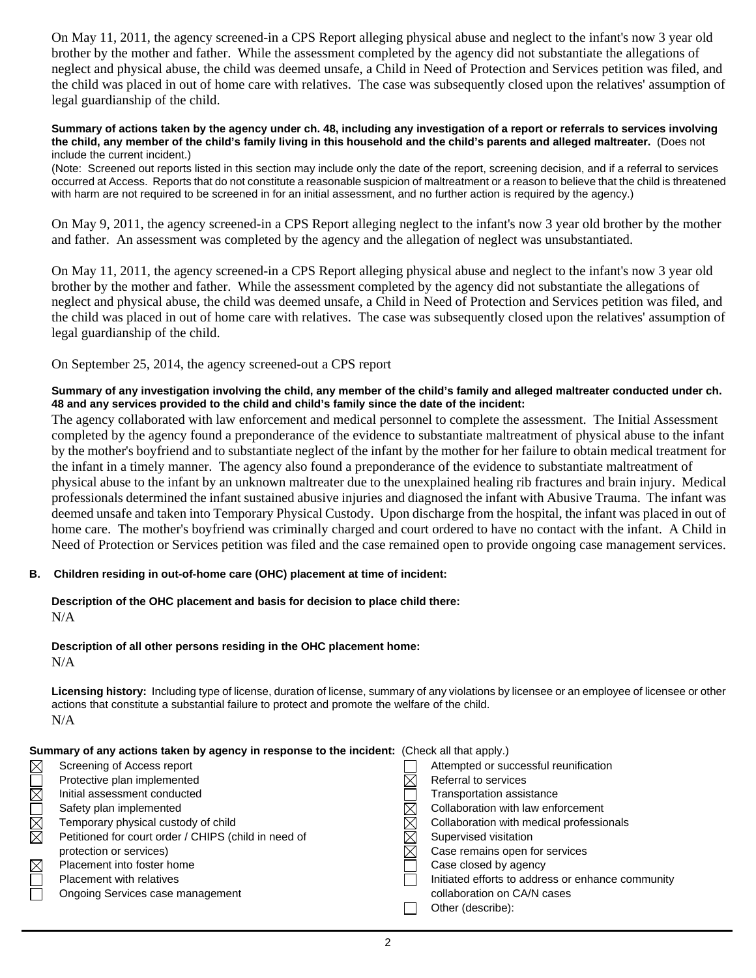On May 11, 2011, the agency screened-in a CPS Report alleging physical abuse and neglect to the infant's now 3 year old brother by the mother and father. While the assessment completed by the agency did not substantiate the allegations of neglect and physical abuse, the child was deemed unsafe, a Child in Need of Protection and Services petition was filed, and the child was placed in out of home care with relatives. The case was subsequently closed upon the relatives' assumption of legal guardianship of the child.

#### **Summary of actions taken by the agency under ch. 48, including any investigation of a report or referrals to services involving the child, any member of the child's family living in this household and the child's parents and alleged maltreater.** (Does not include the current incident.)

(Note: Screened out reports listed in this section may include only the date of the report, screening decision, and if a referral to services occurred at Access. Reports that do not constitute a reasonable suspicion of maltreatment or a reason to believe that the child is threatened with harm are not required to be screened in for an initial assessment, and no further action is required by the agency.)

On May 9, 2011, the agency screened-in a CPS Report alleging neglect to the infant's now 3 year old brother by the mother and father. An assessment was completed by the agency and the allegation of neglect was unsubstantiated.

On May 11, 2011, the agency screened-in a CPS Report alleging physical abuse and neglect to the infant's now 3 year old brother by the mother and father. While the assessment completed by the agency did not substantiate the allegations of neglect and physical abuse, the child was deemed unsafe, a Child in Need of Protection and Services petition was filed, and the child was placed in out of home care with relatives. The case was subsequently closed upon the relatives' assumption of legal guardianship of the child.

On September 25, 2014, the agency screened-out a CPS report

## **Summary of any investigation involving the child, any member of the child's family and alleged maltreater conducted under ch. 48 and any services provided to the child and child's family since the date of the incident:**

The agency collaborated with law enforcement and medical personnel to complete the assessment. The Initial Assessment completed by the agency found a preponderance of the evidence to substantiate maltreatment of physical abuse to the infant by the mother's boyfriend and to substantiate neglect of the infant by the mother for her failure to obtain medical treatment for the infant in a timely manner. The agency also found a preponderance of the evidence to substantiate maltreatment of physical abuse to the infant by an unknown maltreater due to the unexplained healing rib fractures and brain injury. Medical professionals determined the infant sustained abusive injuries and diagnosed the infant with Abusive Trauma. The infant was deemed unsafe and taken into Temporary Physical Custody. Upon discharge from the hospital, the infant was placed in out of home care. The mother's boyfriend was criminally charged and court ordered to have no contact with the infant. A Child in Need of Protection or Services petition was filed and the case remained open to provide ongoing case management services.

## **B. Children residing in out-of-home care (OHC) placement at time of incident:**

# **Description of the OHC placement and basis for decision to place child there:** N/A

## **Description of all other persons residing in the OHC placement home:**

N/A

**Licensing history:** Including type of license, duration of license, summary of any violations by licensee or an employee of licensee or other actions that constitute a substantial failure to protect and promote the welfare of the child. N/A

| Summary of any actions taken by agency in response to the incident: (Check all that apply.) |  |
|---------------------------------------------------------------------------------------------|--|
|---------------------------------------------------------------------------------------------|--|

| $\boxtimes$ | Screening of Access report                           | Attempted or successful reunification             |
|-------------|------------------------------------------------------|---------------------------------------------------|
| $\boxtimes$ | Protective plan implemented                          | Referral to services                              |
|             | Initial assessment conducted                         | Transportation assistance                         |
| MMO         | Safety plan implemented                              | Collaboration with law enforcement                |
|             | Temporary physical custody of child                  | Collaboration with medical professionals          |
|             | Petitioned for court order / CHIPS (child in need of | Supervised visitation                             |
|             | protection or services)                              | Case remains open for services                    |
| $\boxtimes$ | Placement into foster home                           | Case closed by agency                             |
| $\Box$      | <b>Placement with relatives</b>                      | Initiated efforts to address or enhance community |
|             | Ongoing Services case management                     | collaboration on CA/N cases                       |
|             |                                                      | Other (describe):                                 |